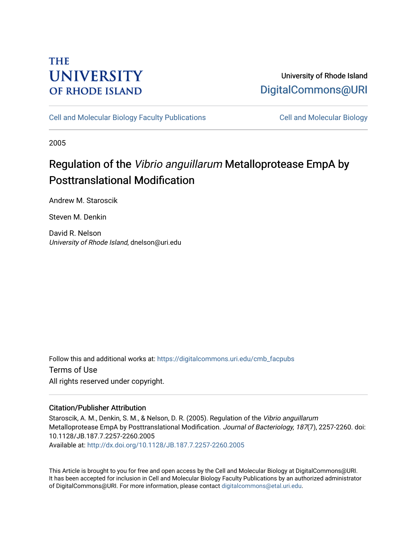## **THE UNIVERSITY OF RHODE ISLAND**

## University of Rhode Island [DigitalCommons@URI](https://digitalcommons.uri.edu/)

[Cell and Molecular Biology Faculty Publications](https://digitalcommons.uri.edu/cmb_facpubs) [Cell and Molecular Biology](https://digitalcommons.uri.edu/cmb) 

2005

# Regulation of the Vibrio anguillarum Metalloprotease EmpA by Posttranslational Modification

Andrew M. Staroscik

Steven M. Denkin

David R. Nelson University of Rhode Island, dnelson@uri.edu

Follow this and additional works at: [https://digitalcommons.uri.edu/cmb\\_facpubs](https://digitalcommons.uri.edu/cmb_facpubs?utm_source=digitalcommons.uri.edu%2Fcmb_facpubs%2F46&utm_medium=PDF&utm_campaign=PDFCoverPages)  Terms of Use All rights reserved under copyright.

### Citation/Publisher Attribution

Staroscik, A. M., Denkin, S. M., & Nelson, D. R. (2005). Regulation of the Vibrio anguillarum Metalloprotease EmpA by Posttranslational Modification. Journal of Bacteriology, 187(7), 2257-2260. doi: 10.1128/JB.187.7.2257-2260.2005 Available at:<http://dx.doi.org/10.1128/JB.187.7.2257-2260.2005>

This Article is brought to you for free and open access by the Cell and Molecular Biology at DigitalCommons@URI. It has been accepted for inclusion in Cell and Molecular Biology Faculty Publications by an authorized administrator of DigitalCommons@URI. For more information, please contact [digitalcommons@etal.uri.edu](mailto:digitalcommons@etal.uri.edu).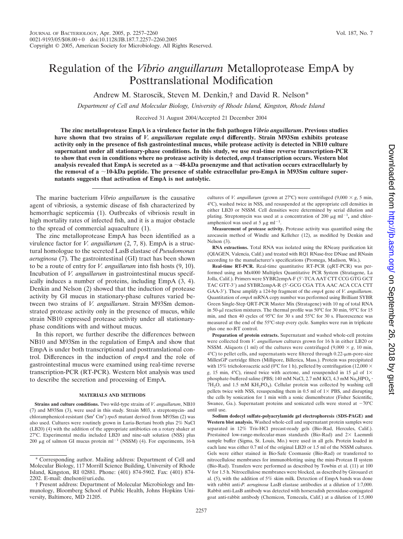### Regulation of the *Vibrio anguillarum* Metalloprotease EmpA by Posttranslational Modification

Andrew M. Staroscik, Steven M. Denkin,† and David R. Nelson\*

*Department of Cell and Molecular Biology, University of Rhode Island, Kingston, Rhode Island*

Received 31 August 2004/Accepted 21 December 2004

**The zinc metalloprotease EmpA is a virulence factor in the fish pathogen** *Vibrio anguillarum***. Previous studies have shown that two strains of** *V. anguillarum* **regulate** *empA* **differently. Strain M93Sm exhibits protease activity only in the presence of fish gastrointestinal mucus, while protease activity is detected in NB10 culture supernatant under all stationary-phase conditions. In this study, we use real-time reverse transcription-PCR to show that even in conditions where no protease activity is detected,** *empA* **transcription occurs. Western blot** analysis revealed that EmpA is secreted as a  ${\sim}$ 48-kDa proenzyme and that activation occurs extracellularly by **the removal of a** -**10-kDa peptide. The presence of stable extracellular pro-EmpA in M93Sm culture supernatants suggests that activation of EmpA is not autolytic.**

The marine bacterium *Vibrio anguillarum* is the causative agent of vibriosis, a systemic disease of fish characterized by hemorrhagic septicemia (1). Outbreaks of vibriosis result in high mortality rates of infected fish, and it is a major obstacle to the spread of commercial aquaculture (1).

The zinc metalloprotease EmpA has been identified as a virulence factor for *V. anguillarum* (2, 7, 8). EmpA is a structural homologue to the secreted LasB elastase of *Pseudomonas aeruginosa* (7). The gastrointestinal (GI) tract has been shown to be a route of entry for *V. anguillarum* into fish hosts (9, 10). Incubation of *V. anguillarum* in gastrointestinal mucus specifically induces a number of proteins, including EmpA (3, 4). Denkin and Nelson (2) showed that the induction of protease activity by GI mucus in stationary-phase cultures varied between two strains of *V. anguillarum*. Strain M93Sm demonstrated protease activity only in the presence of mucus, while strain NB10 expressed protease activity under all stationaryphase conditions with and without mucus.

In this report, we further describe the differences between NB10 and M93Sm in the regulation of EmpA and show that EmpA is under both transcriptional and posttranslational control. Differences in the induction of *empA* and the role of gastrointestinal mucus were examined using real-time reverse transcription-PCR (RT-PCR). Western blot analysis was used to describe the secretion and processing of EmpA.

### **MATERIALS AND METHODS**

**Strains and culture conditions.** Two wild-type strains of *V. anguillarum*, NB10 (7) and M93Sm (3), were used in this study. Strain M03, a streptomycin- and chloramphenicol-resistant (Sm<sup>r</sup> Cm<sup>r</sup>) *rpoS* mutant derived from M93Sm (2) was also used. Cultures were routinely grown in Luria-Bertani broth plus 2% NaCl (LB20) (4) with the addition of the appropriate antibiotics on a rotary shaker at 27°C. Experimental media included LB20 and nine-salt solution (NSS) plus 200  $\mu$ g of salmon GI mucus protein ml<sup>-1</sup> (NSSM) (4). For experiments, 16-h cultures of *V. anguillarum* (grown at 27°C) were centrifuged (9,000  $\times$  g, 5 min, 4°C), washed twice in NSS, and resuspended at the appropriate cell densities in either LB20 or NSSM. Cell densities were determined by serial dilution and plating. Streptomycin was used at a concentration of 200  $\mu$ g ml<sup>-1</sup>, and chloramphenicol was used at 5  $\mu$ g ml<sup>-1</sup>.

**Measurement of protease activity.** Protease activity was quantified using the azocasein method of Windle and Kelleher (12), as modified by Denkin and Nelson (3).

**RNA extractions.** Total RNA was isolated using the RNeasy purification kit (QIAGEN, Valencia, Calif.) and treated with RQ1 RNase-free DNase and RNasin according to the manufacturer's specifications (Promega, Madison, Wis.).

**Real-time RT-PCR.** Real-time quantitative RT-PCR (qRT-PCR) was performed using an Mx4000 Multiplex Quantitative PCR System (Stratagene, La Jolla, Calif.). Primers were SYBR2empA-F (5'-TCA AAT CTT CCG GTG GCT TAC GTT-3) and SYBR2empA-R (5-GCG CGA TTA AAC ACA CCA CTT GAA-3). These amplify a 124-bp fragment of the *empA* gene of *V. anguillarum*. Quantitation of *empA* mRNA copy number was performed using Brilliant SYBR Green Single-Step QRT-PCR Master Mix (Stratagene) with 10 ng of total RNA in 50-µl reaction mixtures. The thermal profile was 50°C for 30 min, 95°C for 15 min, and then 40 cycles of 95°C for 30 s and 55°C for 30 s. Fluorescence was measured at the end of the 55°C-step every cycle. Samples were run in triplicate plus one no-RT control.

**Preparation of protein extracts.** Supernatant and washed whole-cell proteins were collected from *V. anguillarum* cultures grown for 16 h in either LB20 or NSSM. Aliquots (1 ml) of the cultures were centrifuged (9,000  $\times$  g, 10 min.  $4^{\circ}$ C) to pellet cells, and supernatants were filtered through 0.22- $\mu$ m-pore-size MillexGP cartridge filters (Millipore, Billerica, Mass.). Protein was precipitated with 15% tricholoroacetic acid (0°C for 1 h), pelleted by centrifugation (12,000  $\times$ *g*, 15 min, 4°C), rinsed twice with acetone, and resuspended in 15  $\mu$ l of 1× phosphate-buffered saline (PBS; 140 mM NaCl, 2.7 mM KCl, 4.3 mM Na2HPO<sub>4</sub> ·  $7H<sub>2</sub>O$ , and 1.5 mM  $KH<sub>2</sub>PO<sub>4</sub>$ ). Cellular protein was collected by washing cell pellets twice with NSS, resuspending them in 0.5 ml of  $1 \times$  PBS, and disrupting the cells by sonication for 1 min with a sonic dismembrator (Fisher Scientific, Swanee, Ga.). Supernatant proteins and sonicated cells were stored at  $-70^{\circ}$ C until use.

**Sodium dodecyl sulfate-polyacrylamide gel electrophoresis (SDS-PAGE) and Western blot analysis.** Washed whole-cell and supernatant protein samples were separated in 12% Tris-HCl precast-ready gels (Bio-Rad, Hercules, Calif.). Prestained low-range-molecular-mass standards (Bio-Rad) and  $2\times$  Laemmli sample buffer (Sigma, St. Louis, Mo.) were used in all gels. Protein loaded in each lane was either 0.7 ml of the original LB20 or 1.5 ml of the NSSM cultures. Gels were either stained in Bio-Safe Coomassie (Bio-Rad) or transferred to nitrocellulose membranes for immunoblotting using the mini-Protean II system (Bio-Rad). Transfers were performed as described by Towbin et al. (11) at 100 V for 1.5 h. Nitrocellulose membranes were blocked, as described by Girouard et al. (5), with the addition of 5% skim milk. Detection of EmpA bands was done with rabbit anti-*P. aeruginosa* LasB elastase antibodies at a dilution of 1:7,000. Rabbit anti-LasB antibody was detected with horseradish peroxidase-conjugated goat anti-rabbit antibody (Chemicon, Temecula, Calif.) at a dilution of 1:5,000

<sup>\*</sup> Corresponding author. Mailing address: Department of Cell and Molecular Biology, 117 Morrill Science Building, University of Rhode Island, Kingston, RI 02881. Phone: (401) 874-5902. Fax: (401) 874- 2202. E-mail: dnelson@uri.edu.

<sup>†</sup> Present address: Department of Molecular Microbiology and Immunology, Bloomberg School of Public Health, Johns Hopkins University, Baltimore, MD 21205.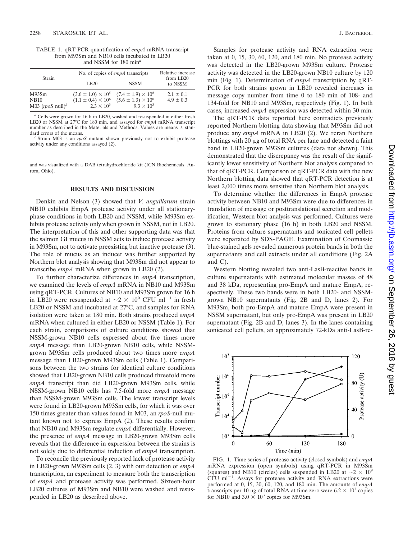TABLE 1. qRT-PCR quantification of *empA* mRNA transcript from M93Sm and NB10 cells incubated in LB20 and NSSM for 180 min*<sup>a</sup>*

| Strain                                                 | No. of copies of <i>empA</i> transcripts                                        |                                                                                   | Relative increase<br>from LB20 |
|--------------------------------------------------------|---------------------------------------------------------------------------------|-----------------------------------------------------------------------------------|--------------------------------|
|                                                        | LB <sub>20</sub>                                                                | <b>NSSM</b>                                                                       | to NSSM                        |
| M93Sm<br><b>NB10</b><br>M03 $($ <i>rpoS</i> null $)^b$ | $(3.6 \pm 1.0) \times 10^5$<br>$(1.1 \pm 0.4) \times 10^6$<br>$2.3 \times 10^3$ | $(7.4 \pm 1.9) \times 10^5$<br>$(5.6 \pm 1.3) \times 10^6$<br>$9.3 \times 10^{3}$ | $2.1 \pm 0.1$<br>$4.9 \pm 0.3$ |

*<sup>a</sup>* Cells were grown for 16 h in LB20, washed and resuspended in either fresh LB20 or NSSM at 27°C for 180 min, and assayed for *empA* mRNA transcript number as described in the Materials and Methods. Values are means  $\pm$  standard errors of the means.

<sup>b</sup> Strain M03 is an *rpoS* mutant shown previously not to exhibit protease activity under any conditions assayed (2).

and was visualized with a DAB tetrahydrochloride kit (ICN Biochemicals, Aurora, Ohio).

### **RESULTS AND DISCUSSION**

Denkin and Nelson (3) showed that *V. anguillarum* strain NB10 exhibits EmpA protease activity under all stationaryphase conditions in both LB20 and NSSM, while M93Sm exhibits protease activity only when grown in NSSM, not in LB20. The interpretation of this and other supporting data was that the salmon GI mucus in NSSM acts to induce protease activity in M93Sm, not to activate preexisting but inactive protease (3). The role of mucus as an inducer was further supported by Northern blot analysis showing that M93Sm did not appear to transcribe *empA* mRNA when grown in LB20 (2).

To further characterize differences in *empA* transcription, we examined the levels of *empA* mRNA in NB10 and M93Sm using qRT-PCR. Cultures of NB10 and M93Sm grown for 16 h in LB20 were resuspended at  $\sim$ 2  $\times$  10<sup>9</sup> CFU ml<sup>-1</sup> in fresh LB20 or NSSM and incubated at 27°C, and samples for RNA isolation were taken at 180 min. Both strains produced *empA* mRNA when cultured in either LB20 or NSSM (Table 1). For each strain, comparisons of culture conditions showed that NSSM-grown NB10 cells expressed about five times more *empA* message than LB20-grown NB10 cells, while NSSMgrown M93Sm cells produced about two times more *empA* message than LB20-grown M93Sm cells (Table 1). Comparisons between the two strains for identical culture conditions showed that LB20-grown NB10 cells produced threefold more *empA* transcript than did LB20-grown M93Sm cells, while NSSM-grown NB10 cells has 7.5-fold more *empA* message than NSSM-grown M93Sm cells. The lowest transcript levels were found in LB20-grown M93Sm cells, for which it was over 150 times greater than values found in M03, an *rpoS*-null mutant known not to express EmpA (2). These results confirm that NB10 and M93Sm regulate *empA* differentially. However, the presence of *empA* message in LB20-grown M93Sm cells reveals that the difference in expression between the strains is not solely due to differential induction of *empA* transcription.

To reconcile the previously reported lack of protease activity in LB20-grown M93Sm cells (2, 3) with our detection of *empA* transcription, an experiment to measure both the transcription of *empA* and protease activity was performed. Sixteen-hour LB20 cultures of M93Sm and NB10 were washed and resuspended in LB20 as described above.

Samples for protease activity and RNA extraction were taken at 0, 15, 30, 60, 120, and 180 min. No protease activity was detected in the LB20-grown M93Sm culture. Protease activity was detected in the LB20-grown NB10 culture by 120 min (Fig. 1). Determination of *empA* transcription by qRT-PCR for both strains grown in LB20 revealed increases in message copy number from time 0 to 180 min of 108- and 134-fold for NB10 and M93Sm, respectively (Fig. 1). In both cases, increased *empA* expression was detected within 30 min.

The qRT-PCR data reported here contradicts previously reported Northern blotting data showing that M93Sm did not produce any *empA* mRNA in LB20 (2). We reran Northern blottings with  $20 \mu g$  of total RNA per lane and detected a faint band in LB20-grown M93Sm cultures (data not shown). This demonstrated that the discrepancy was the result of the significantly lower sensitivity of Northern blot analysis compared to that of qRT-PCR. Comparison of qRT-PCR data with the new Northern blotting data showed that qRT-PCR detection is at least 2,000 times more sensitive than Northern blot analysis.

To determine whether the differences in EmpA protease activity between NB10 and M93Sm were due to differences in translation of message or posttranslational secretion and modification, Western blot analysis was performed. Cultures were grown to stationary phase (16 h) in both LB20 and NSSM. Proteins from culture supernatants and sonicated cell pellets were separated by SDS-PAGE. Examination of Coomassie blue-stained gels revealed numerous protein bands in both the supernatants and cell extracts under all conditions (Fig. 2A and C).

Western blotting revealed two anti-LasB-reactive bands in culture supernatants with estimated molecular masses of 48 and 38 kDa, representing pro-EmpA and mature EmpA, respectively. These two bands were in both LB20- and NSSMgrown NB10 supernatants (Fig. 2B and D, lanes 2). For M93Sm, both pro-EmpA and mature EmpA were present in NSSM supernatant, but only pro-EmpA was present in LB20 supernatant (Fig. 2B and D, lanes 3). In the lanes containing sonicated cell pellets, an approximately 72-kDa anti-LasB-re-



FIG. 1. Time series of protease activity (closed symbols) and *empA* mRNA expression (open symbols) using qRT-PCR in M93Sm (squares) and NB10 (circles) cells suspended in LB20 at  $\sim$  2  $\times$  10<sup>9</sup>  $CFU$  m<sup> $-1$ </sup>. Assays for protease activity and RNA extractions were performed at 0, 15, 30, 60, 120, and 180 min. The amounts of *empA* transcripts per 10 ng of total RNA at time zero were  $6.2 \times 10^3$  copies for NB10 and  $3.0 \times 10^3$  copies for M93Sm.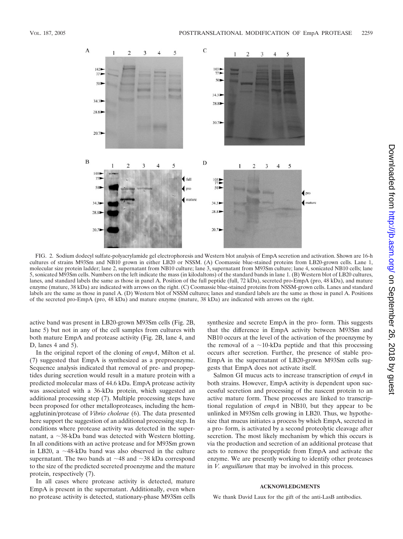

FIG. 2. Sodium dodecyl sulfate-polyacrylamide gel electrophoresis and Western blot analysis of EmpA secretion and activation. Shown are 16-h cultures of strains M93Sm and NB10 grown in either LB20 or NSSM. (A) Coomassie blue-stained proteins from LB20-grown cells. Lane 1, molecular size protein ladder; lane 2, supernatant from NB10 culture; lane 3, supernatant from M93Sm culture; lane 4, sonicated NB10 cells; lane 5, sonicated M93Sm cells. Numbers on the left indicate the mass (in kilodaltons) of the standard bands in lane 1. (B) Western blot of LB20 cultures, lanes, and standard labels the same as those in panel A. Position of the full peptide (full, 72 kDa), secreted pro-EmpA (pro, 48 kDa), and mature enzyme (mature, 38 kDa) are indicated with arrows on the right. (C) Coomassie blue-stained proteins from NSSM-grown cells. Lanes and standard labels are the same as those in panel A. (D) Western blot of NSSM cultures; lanes and standard labels are the same as those in panel A. Positions of the secreted pro-EmpA (pro, 48 kDa) and mature enzyme (mature, 38 kDa) are indicated with arrows on the right.

active band was present in LB20-grown M93Sm cells (Fig. 2B, lane 5) but not in any of the cell samples from cultures with both mature EmpA and protease activity (Fig. 2B, lane 4, and D, lanes 4 and 5).

In the original report of the cloning of *empA*, Milton et al. (7) suggested that EmpA is synthesized as a preproenzyme. Sequence analysis indicated that removal of pre- and propeptides during secretion would result in a mature protein with a predicted molecular mass of 44.6 kDa. EmpA protease activity was associated with a 36-kDa protein, which suggested an additional processing step (7). Multiple processing steps have been proposed for other metalloproteases, including the hemagglutinin/protease of *Vibrio cholerae* (6). The data presented here support the suggestion of an additional processing step. In conditions where protease activity was detected in the supernatant, a  $\sim$ 38-kDa band was detected with Western blotting. In all conditions with an active protease and for M93Sm grown in LB20, a  $\sim$ 48-kDa band was also observed in the culture supernatant. The two bands at  $\sim$ 48 and  $\sim$ 38 kDa correspond to the size of the predicted secreted proenzyme and the mature protein, respectively (7).

In all cases where protease activity is detected, mature EmpA is present in the supernatant. Additionally, even when no protease activity is detected, stationary-phase M93Sm cells synthesize and secrete EmpA in the pro- form. This suggests that the difference in EmpA activity between M93Sm and NB10 occurs at the level of the activation of the proenzyme by the removal of a  $\sim$ 10-kDa peptide and that this processing occurs after secretion. Further, the presence of stable pro-EmpA in the supernatant of LB20-grown M93Sm cells suggests that EmpA does not activate itself.

Salmon GI mucus acts to increase transcription of *empA* in both strains. However, EmpA activity is dependent upon successful secretion and processing of the nascent protein to an active mature form. These processes are linked to transcriptional regulation of *empA* in NB10, but they appear to be unlinked in M93Sm cells growing in LB20. Thus, we hypothesize that mucus initiates a process by which EmpA, secreted in a pro- form, is activated by a second proteolytic cleavage after secretion. The most likely mechanism by which this occurs is via the production and secretion of an additional protease that acts to remove the propeptide from EmpA and activate the enzyme. We are presently working to identify other proteases in *V. anguillarum* that may be involved in this process.

#### **ACKNOWLEDGMENTS**

We thank David Laux for the gift of the anti-LasB antibodies.